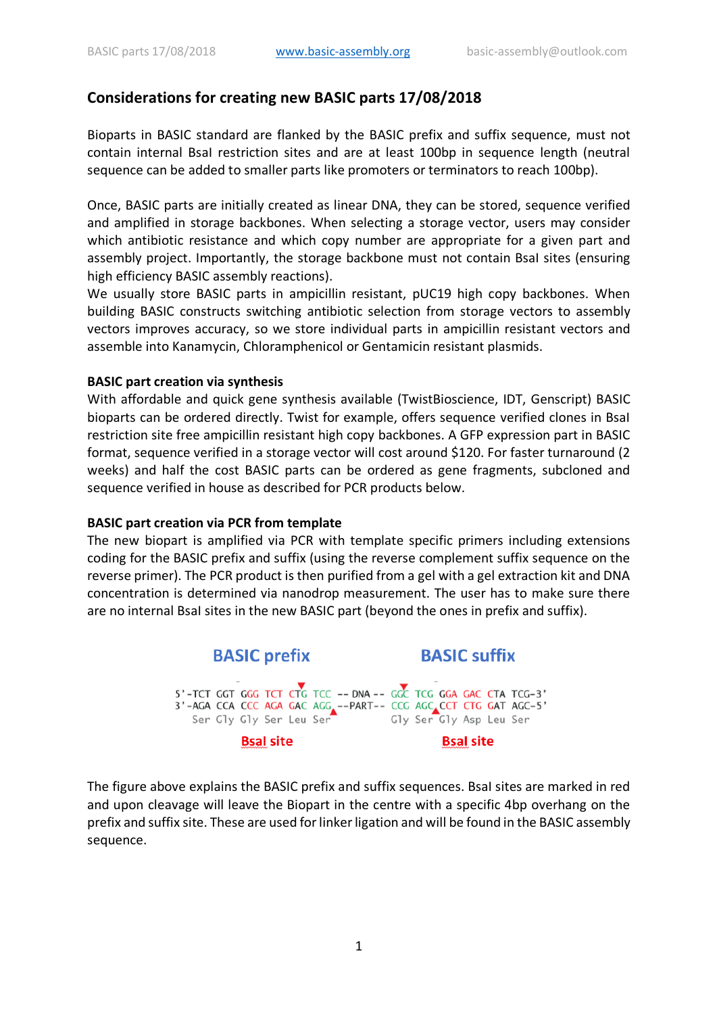# **Considerations for creating new BASIC parts 17/08/2018**

Bioparts in BASIC standard are flanked by the BASIC prefix and suffix sequence, must not contain internal BsaI restriction sites and are at least 100bp in sequence length (neutral sequence can be added to smaller parts like promoters or terminators to reach 100bp).

Once, BASIC parts are initially created as linear DNA, they can be stored, sequence verified and amplified in storage backbones. When selecting a storage vector, users may consider which antibiotic resistance and which copy number are appropriate for a given part and assembly project. Importantly, the storage backbone must not contain Bsal sites (ensuring high efficiency BASIC assembly reactions).

We usually store BASIC parts in ampicillin resistant, pUC19 high copy backbones. When building BASIC constructs switching antibiotic selection from storage vectors to assembly vectors improves accuracy, so we store individual parts in ampicillin resistant vectors and assemble into Kanamycin, Chloramphenicol or Gentamicin resistant plasmids.

### **BASIC part creation via synthesis**

With affordable and quick gene synthesis available (TwistBioscience, IDT, Genscript) BASIC bioparts can be ordered directly. Twist for example, offers sequence verified clones in BsaI restriction site free ampicillin resistant high copy backbones. A GFP expression part in BASIC format, sequence verified in a storage vector will cost around \$120. For faster turnaround (2 weeks) and half the cost BASIC parts can be ordered as gene fragments, subcloned and sequence verified in house as described for PCR products below.

### **BASIC part creation via PCR from template**

The new biopart is amplified via PCR with template specific primers including extensions coding for the BASIC prefix and suffix (using the reverse complement suffix sequence on the reverse primer). The PCR product is then purified from a gel with a gel extraction kit and DNA concentration is determined via nanodrop measurement. The user has to make sure there are no internal BsaI sites in the new BASIC part (beyond the ones in prefix and suffix).



The figure above explains the BASIC prefix and suffix sequences. BsaI sites are marked in red and upon cleavage will leave the Biopart in the centre with a specific 4bp overhang on the prefix and suffix site. These are used for linker ligation and will be found in the BASIC assembly sequence.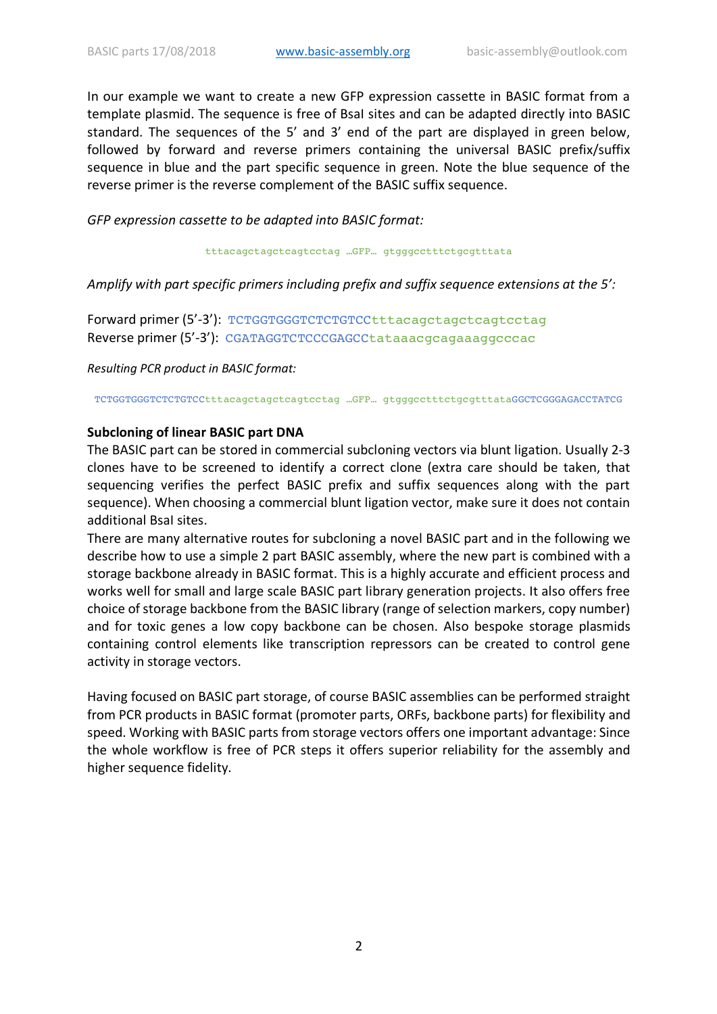In our example we want to create a new GFP expression cassette in BASIC format from a template plasmid. The sequence is free of BsaI sites and can be adapted directly into BASIC standard. The sequences of the 5' and 3' end of the part are displayed in green below, followed by forward and reverse primers containing the universal BASIC prefix/suffix sequence in blue and the part specific sequence in green. Note the blue sequence of the reverse primer is the reverse complement of the BASIC suffix sequence.

*GFP expression cassette to be adapted into BASIC format:*

tttacagctagctcagtcctag …GFP… gtgggcctttctgcgtttata

*Amplify with part specific primers including prefix and suffix sequence extensions at the 5':*

Forward primer (5'-3'): TCTGGTGGGTCTCTGTCCtttacagctagctcagtcctag Reverse primer (5'-3'): CGATAGGTCTCCCGAGCCtataaacgcagaaaggcccac

*Resulting PCR product in BASIC format:*

TCTGGTGGGTCTCTGTCCtttacagctagctcagtcctag …GFP… gtgggcctttctgcgtttataGGCTCGGGAGACCTATCG

### **Subcloning of linear BASIC part DNA**

The BASIC part can be stored in commercial subcloning vectors via blunt ligation. Usually 2-3 clones have to be screened to identify a correct clone (extra care should be taken, that sequencing verifies the perfect BASIC prefix and suffix sequences along with the part sequence). When choosing a commercial blunt ligation vector, make sure it does not contain additional BsaI sites.

There are many alternative routes for subcloning a novel BASIC part and in the following we describe how to use a simple 2 part BASIC assembly, where the new part is combined with a storage backbone already in BASIC format. This is a highly accurate and efficient process and works well for small and large scale BASIC part library generation projects. It also offers free choice of storage backbone from the BASIC library (range of selection markers, copy number) and for toxic genes a low copy backbone can be chosen. Also bespoke storage plasmids containing control elements like transcription repressors can be created to control gene activity in storage vectors.

Having focused on BASIC part storage, of course BASIC assemblies can be performed straight from PCR products in BASIC format (promoter parts, ORFs, backbone parts) for flexibility and speed. Working with BASIC parts from storage vectors offers one important advantage: Since the whole workflow is free of PCR steps it offers superior reliability for the assembly and higher sequence fidelity.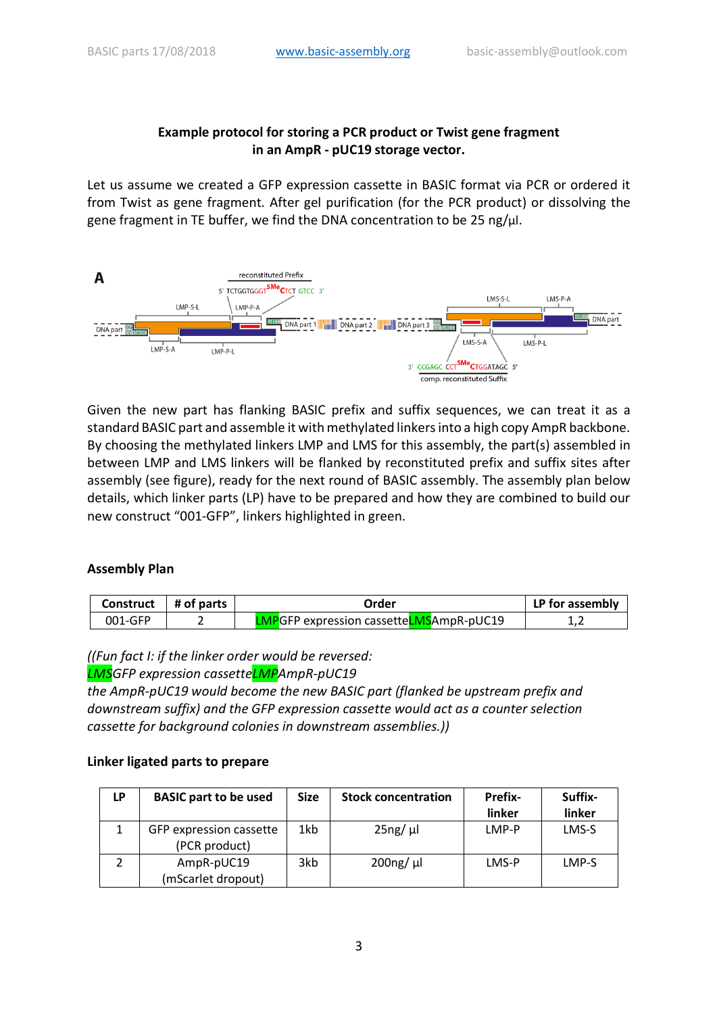### **Example protocol for storing a PCR product or Twist gene fragment in an AmpR - pUC19 storage vector.**

Let us assume we created a GFP expression cassette in BASIC format via PCR or ordered it from Twist as gene fragment. After gel purification (for the PCR product) or dissolving the gene fragment in TE buffer, we find the DNA concentration to be 25 ng/μl.



Given the new part has flanking BASIC prefix and suffix sequences, we can treat it as a standard BASIC part and assemble it with methylated linkers into a high copy AmpR backbone. By choosing the methylated linkers LMP and LMS for this assembly, the part(s) assembled in between LMP and LMS linkers will be flanked by reconstituted prefix and suffix sites after assembly (see figure), ready for the next round of BASIC assembly. The assembly plan below details, which linker parts (LP) have to be prepared and how they are combined to build our new construct "001-GFP", linkers highlighted in green.

## **Assembly Plan**

| <b>Construct</b> | $\parallel$ # of parts | Order                                           | LP for assembly |
|------------------|------------------------|-------------------------------------------------|-----------------|
| 001-GFP          |                        | <b>LMP</b> GFP expression cassetteLMSAmpR-pUC19 |                 |

*((Fun fact I: if the linker order would be reversed:*

*LMSGFP expression cassetteLMPAmpR-pUC19*

*the AmpR-pUC19 would become the new BASIC part (flanked be upstream prefix and downstream suffix) and the GFP expression cassette would act as a counter selection cassette for background colonies in downstream assemblies.))*

### **Linker ligated parts to prepare**

| LP | <b>BASIC part to be used</b>             | <b>Size</b> | <b>Stock concentration</b> | <b>Prefix-</b><br>linker | Suffix-<br>linker |
|----|------------------------------------------|-------------|----------------------------|--------------------------|-------------------|
|    | GFP expression cassette<br>(PCR product) | 1kb         | $25ng/ \mu l$              | LMP-P                    | LMS-S             |
|    | AmpR-pUC19<br>(mScarlet dropout)         | 3kb         | $200ng/ \mu l$             | LMS-P                    | LMP-S             |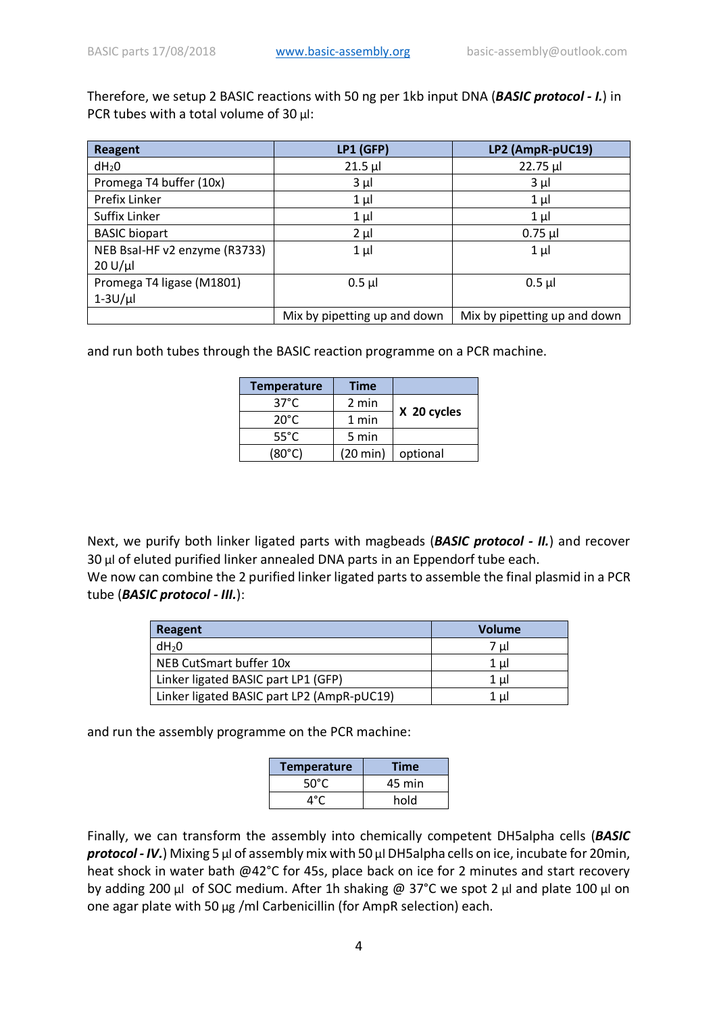Therefore, we setup 2 BASIC reactions with 50 ng per 1kb input DNA (*BASIC protocol - I.*) in PCR tubes with a total volume of 30 μl:

| <b>Reagent</b>                | LP1 (GFP)                    | LP2 (AmpR-pUC19)             |
|-------------------------------|------------------------------|------------------------------|
| $dH_2O$                       | $21.5$ µl                    | 22.75 µl                     |
| Promega T4 buffer (10x)       | $3 \mu l$                    | $3 \mu$                      |
| Prefix Linker                 | $1 \mu$                      | $1 \mu$                      |
| Suffix Linker                 | $1 \mu$                      | $1 \mu$                      |
| <b>BASIC</b> biopart          | $2 \mu l$                    | $0.75$ µl                    |
| NEB Bsal-HF v2 enzyme (R3733) | $1 \mu$                      | $1 \mu$                      |
| $20 U/ \mu l$                 |                              |                              |
| Promega T4 ligase (M1801)     | $0.5$ $\mu$                  | $0.5$ µl                     |
| $1-3U/\mu$                    |                              |                              |
|                               | Mix by pipetting up and down | Mix by pipetting up and down |

and run both tubes through the BASIC reaction programme on a PCR machine.

| <b>Temperature</b> | Time     |             |
|--------------------|----------|-------------|
| $37^{\circ}$ C     | 2 min    |             |
| 20°C               | 1 min    | X 20 cycles |
| $55^{\circ}$ C     | 5 min    |             |
| $(80^{\circ}$ C)   | (20 min) | optional    |

Next, we purify both linker ligated parts with magbeads (*BASIC protocol - II.*) and recover 30 μl of eluted purified linker annealed DNA parts in an Eppendorf tube each.

We now can combine the 2 purified linker ligated parts to assemble the final plasmid in a PCR tube (*BASIC protocol - III.*):

| Reagent                                    | Volume |
|--------------------------------------------|--------|
| dH <sub>2</sub> 0                          | 7 ul   |
| NEB CutSmart buffer 10x                    | 1 ul   |
| Linker ligated BASIC part LP1 (GFP)        | 1 ul   |
| Linker ligated BASIC part LP2 (AmpR-pUC19) | 1 ul   |

and run the assembly programme on the PCR machine:

| <b>Temperature</b> | Time   |
|--------------------|--------|
| $50^{\circ}$ C     | 45 min |
| ⊿°C                | hold   |

Finally, we can transform the assembly into chemically competent DH5alpha cells (*BASIC protocol - IV.*) Mixing 5 μl of assembly mix with 50 μl DH5alpha cells on ice, incubate for 20min, heat shock in water bath @42°C for 45s, place back on ice for 2 minutes and start recovery by adding 200 μl of SOC medium. After 1h shaking @ 37°C we spot 2 μl and plate 100 μl on one agar plate with 50 μg /ml Carbenicillin (for AmpR selection) each.